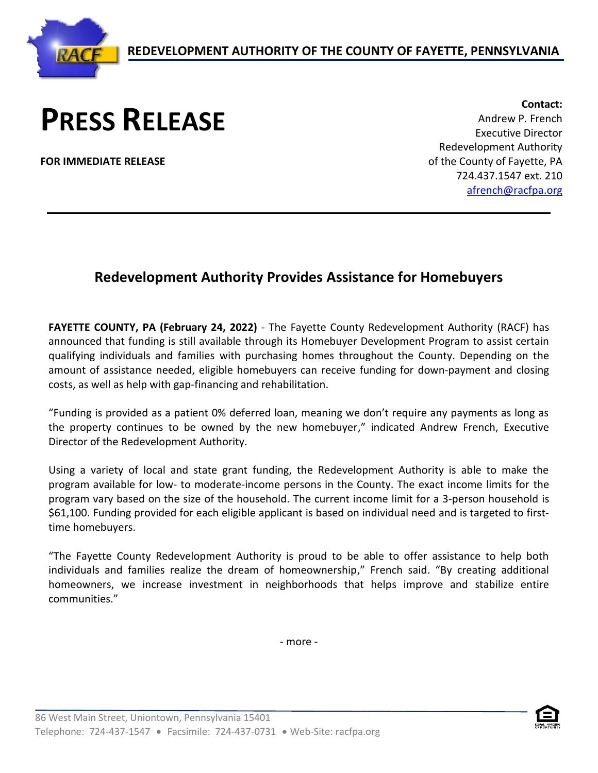

## **PRESS RELEASE**

**FOR IMMEDIATE RELEASE**

**Contact:** Andrew P. French Executive Director Redevelopment Authority of the County of Fayette, PA 724.437.1547 ext. 210 [afrench@racfpa.org](mailto:afrench@racfpa.org)

## **Redevelopment Authority Provides Assistance for Homebuyers**

**FAYETTE COUNTY, PA (February 24, 2022)** - The Fayette County Redevelopment Authority (RACF) has announced that funding is still available through its Homebuyer Development Program to assist certain qualifying individuals and families with purchasing homes throughout the County. Depending on the amount of assistance needed, eligible homebuyers can receive funding for down-payment and closing costs, as well as help with gap-financing and rehabilitation.

"Funding is provided as a patient 0% deferred loan, meaning we don't require any payments as long as the property continues to be owned by the new homebuyer," indicated Andrew French, Executive Director of the Redevelopment Authority.

Using a variety of local and state grant funding, the Redevelopment Authority is able to make the program available for low- to moderate-income persons in the County. The exact income limits for the program vary based on the size of the household. The current income limit for a 3-person household is \$61,100. Funding provided for each eligible applicant is based on individual need and is targeted to firsttime homebuyers.

"The Fayette County Redevelopment Authority is proud to be able to offer assistance to help both individuals and families realize the dream of homeownership," French said. "By creating additional homeowners, we increase investment in neighborhoods that helps improve and stabilize entire communities."

- more -